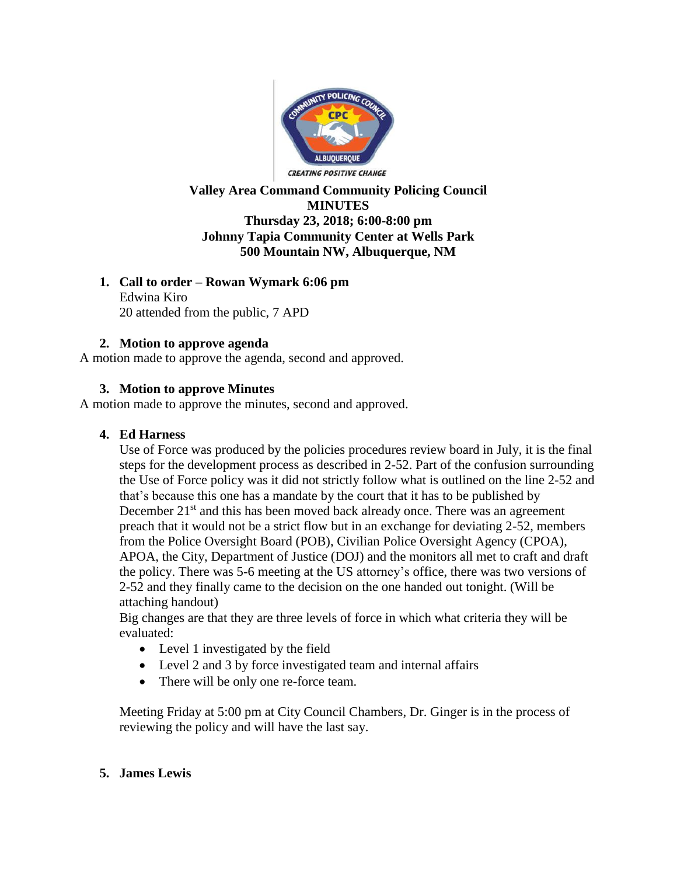

# **Valley Area Command Community Policing Council MINUTES Thursday 23, 2018; 6:00-8:00 pm Johnny Tapia Community Center at Wells Park 500 Mountain NW, Albuquerque, NM**

## **1. Call to order – Rowan Wymark 6:06 pm**

Edwina Kiro 20 attended from the public, 7 APD

# **2. Motion to approve agenda**

A motion made to approve the agenda, second and approved.

# **3. Motion to approve Minutes**

A motion made to approve the minutes, second and approved.

## **4. Ed Harness**

Use of Force was produced by the policies procedures review board in July, it is the final steps for the development process as described in 2-52. Part of the confusion surrounding the Use of Force policy was it did not strictly follow what is outlined on the line 2-52 and that's because this one has a mandate by the court that it has to be published by December  $21<sup>st</sup>$  and this has been moved back already once. There was an agreement preach that it would not be a strict flow but in an exchange for deviating 2-52, members from the Police Oversight Board (POB), Civilian Police Oversight Agency (CPOA), APOA, the City, Department of Justice (DOJ) and the monitors all met to craft and draft the policy. There was 5-6 meeting at the US attorney's office, there was two versions of 2-52 and they finally came to the decision on the one handed out tonight. (Will be attaching handout)

Big changes are that they are three levels of force in which what criteria they will be evaluated:

- Level 1 investigated by the field
- Level 2 and 3 by force investigated team and internal affairs
- There will be only one re-force team.

Meeting Friday at 5:00 pm at City Council Chambers, Dr. Ginger is in the process of reviewing the policy and will have the last say.

## **5. James Lewis**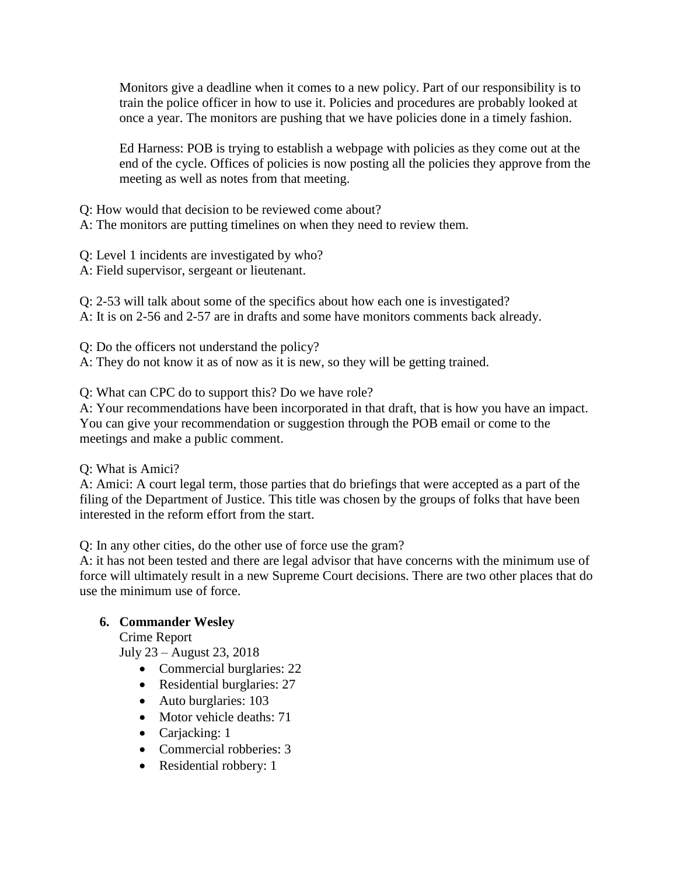Monitors give a deadline when it comes to a new policy. Part of our responsibility is to train the police officer in how to use it. Policies and procedures are probably looked at once a year. The monitors are pushing that we have policies done in a timely fashion.

Ed Harness: POB is trying to establish a webpage with policies as they come out at the end of the cycle. Offices of policies is now posting all the policies they approve from the meeting as well as notes from that meeting.

Q: How would that decision to be reviewed come about?

A: The monitors are putting timelines on when they need to review them.

Q: Level 1 incidents are investigated by who?

A: Field supervisor, sergeant or lieutenant.

Q: 2-53 will talk about some of the specifics about how each one is investigated? A: It is on 2-56 and 2-57 are in drafts and some have monitors comments back already.

Q: Do the officers not understand the policy?

A: They do not know it as of now as it is new, so they will be getting trained.

Q: What can CPC do to support this? Do we have role?

A: Your recommendations have been incorporated in that draft, that is how you have an impact. You can give your recommendation or suggestion through the POB email or come to the meetings and make a public comment.

Q: What is Amici?

A: Amici: A court legal term, those parties that do briefings that were accepted as a part of the filing of the Department of Justice. This title was chosen by the groups of folks that have been interested in the reform effort from the start.

Q: In any other cities, do the other use of force use the gram?

A: it has not been tested and there are legal advisor that have concerns with the minimum use of force will ultimately result in a new Supreme Court decisions. There are two other places that do use the minimum use of force.

# **6. Commander Wesley**

Crime Report

July 23 – August 23, 2018

- Commercial burglaries: 22
- Residential burglaries: 27
- Auto burglaries: 103
- Motor vehicle deaths: 71
- Carjacking: 1
- Commercial robberies: 3
- Residential robbery: 1